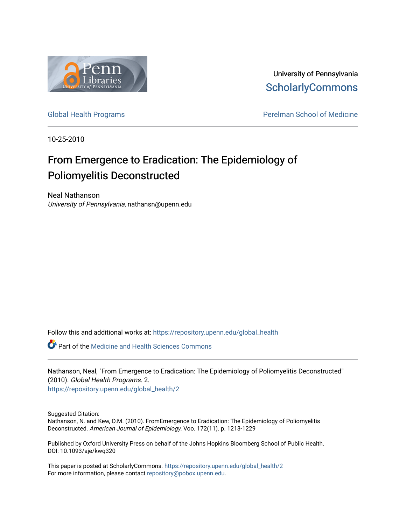

University of Pennsylvania **ScholarlyCommons** 

[Global Health Programs](https://repository.upenn.edu/global_health) **Perelman School of Medicine** 

10-25-2010

# From Emergence to Eradication: The Epidemiology of Poliomyelitis Deconstructed

Neal Nathanson University of Pennsylvania, nathansn@upenn.edu

Follow this and additional works at: [https://repository.upenn.edu/global\\_health](https://repository.upenn.edu/global_health?utm_source=repository.upenn.edu%2Fglobal_health%2F2&utm_medium=PDF&utm_campaign=PDFCoverPages) 

Part of the [Medicine and Health Sciences Commons](http://network.bepress.com/hgg/discipline/648?utm_source=repository.upenn.edu%2Fglobal_health%2F2&utm_medium=PDF&utm_campaign=PDFCoverPages) 

Nathanson, Neal, "From Emergence to Eradication: The Epidemiology of Poliomyelitis Deconstructed" (2010). Global Health Programs. 2. [https://repository.upenn.edu/global\\_health/2](https://repository.upenn.edu/global_health/2?utm_source=repository.upenn.edu%2Fglobal_health%2F2&utm_medium=PDF&utm_campaign=PDFCoverPages) 

Suggested Citation:

Nathanson, N. and Kew, O.M. (2010). FromEmergence to Eradication: The Epidemiology of Poliomyelitis Deconstructed. American Journal of Epidemiology. Voo. 172(11). p. 1213-1229

Published by Oxford University Press on behalf of the Johns Hopkins Bloomberg School of Public Health. DOI: 10.1093/aje/kwq320

This paper is posted at ScholarlyCommons. [https://repository.upenn.edu/global\\_health/2](https://repository.upenn.edu/global_health/2)  For more information, please contact [repository@pobox.upenn.edu.](mailto:repository@pobox.upenn.edu)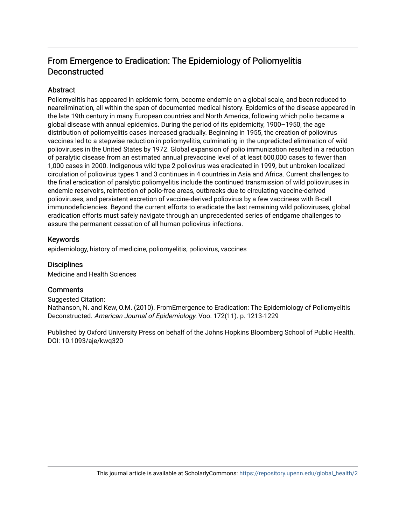## From Emergence to Eradication: The Epidemiology of Poliomyelitis Deconstructed

### Abstract

Poliomyelitis has appeared in epidemic form, become endemic on a global scale, and been reduced to nearelimination, all within the span of documented medical history. Epidemics of the disease appeared in the late 19th century in many European countries and North America, following which polio became a global disease with annual epidemics. During the period of its epidemicity, 1900–1950, the age distribution of poliomyelitis cases increased gradually. Beginning in 1955, the creation of poliovirus vaccines led to a stepwise reduction in poliomyelitis, culminating in the unpredicted elimination of wild polioviruses in the United States by 1972. Global expansion of polio immunization resulted in a reduction of paralytic disease from an estimated annual prevaccine level of at least 600,000 cases to fewer than 1,000 cases in 2000. Indigenous wild type 2 poliovirus was eradicated in 1999, but unbroken localized circulation of poliovirus types 1 and 3 continues in 4 countries in Asia and Africa. Current challenges to the final eradication of paralytic poliomyelitis include the continued transmission of wild polioviruses in endemic reservoirs, reinfection of polio-free areas, outbreaks due to circulating vaccine-derived polioviruses, and persistent excretion of vaccine-derived poliovirus by a few vaccinees with B-cell immunodeficiencies. Beyond the current efforts to eradicate the last remaining wild polioviruses, global eradication efforts must safely navigate through an unprecedented series of endgame challenges to assure the permanent cessation of all human poliovirus infections.

### Keywords

epidemiology, history of medicine, poliomyelitis, poliovirus, vaccines

## **Disciplines**

Medicine and Health Sciences

## **Comments**

Suggested Citation: Nathanson, N. and Kew, O.M. (2010). FromEmergence to Eradication: The Epidemiology of Poliomyelitis Deconstructed. American Journal of Epidemiology. Voo. 172(11). p. 1213-1229

Published by Oxford University Press on behalf of the Johns Hopkins Bloomberg School of Public Health. DOI: 10.1093/aje/kwq320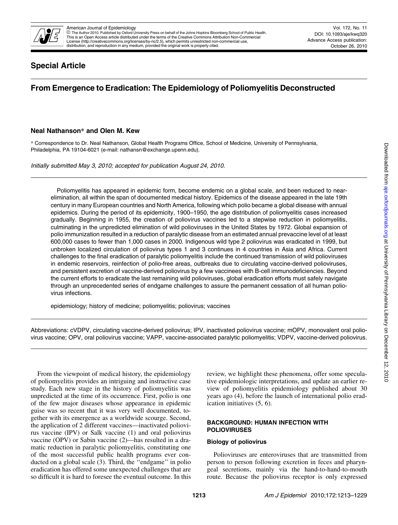

## Special Article

## From Emergence to Eradication: The Epidemiology of Poliomyelitis Deconstructed

#### Neal Nathanson*\** and Olen M. Kew

\* Correspondence to Dr. Neal Nathanson, Global Health Programs Office, School of Medicine, University of Pennsylvania, Philadelphia, PA 19104-6021 (e-mail: nathansn@exchange.upenn.edu).

Initially submitted May 3, 2010; accepted for publication August 24, 2010.

Poliomyelitis has appeared in epidemic form, become endemic on a global scale, and been reduced to nearelimination, all within the span of documented medical history. Epidemics of the disease appeared in the late 19th century in many European countries and North America, following which polio became a global disease with annual epidemics. During the period of its epidemicity, 1900–1950, the age distribution of poliomyelitis cases increased gradually. Beginning in 1955, the creation of poliovirus vaccines led to a stepwise reduction in poliomyelitis, culminating in the unpredicted elimination of wild polioviruses in the United States by 1972. Global expansion of polio immunization resulted in a reduction of paralytic disease from an estimated annual prevaccine level of at least 600,000 cases to fewer than 1,000 cases in 2000. Indigenous wild type 2 poliovirus was eradicated in 1999, but unbroken localized circulation of poliovirus types 1 and 3 continues in 4 countries in Asia and Africa. Current challenges to the final eradication of paralytic poliomyelitis include the continued transmission of wild polioviruses in endemic reservoirs, reinfection of polio-free areas, outbreaks due to circulating vaccine-derived polioviruses, and persistent excretion of vaccine-derived poliovirus by a few vaccinees with B-cell immunodeficiencies. Beyond the current efforts to eradicate the last remaining wild polioviruses, global eradication efforts must safely navigate through an unprecedented series of endgame challenges to assure the permanent cessation of all human poliovirus infections.

epidemiology; history of medicine; poliomyelitis; poliovirus; vaccines

Abbreviations: cVDPV, circulating vaccine-derived poliovirus; IPV, inactivated poliovirus vaccine; mOPV, monovalent oral poliovirus vaccine; OPV, oral poliovirus vaccine; VAPP, vaccine-associated paralytic poliomyelitis; VDPV, vaccine-derived poliovirus.

From the viewpoint of medical history, the epidemiology of poliomyelitis provides an intriguing and instructive case study. Each new stage in the history of poliomyelitis was unpredicted at the time of its occurrence. First, polio is one of the few major diseases whose appearance in epidemic guise was so recent that it was very well documented, together with its emergence as a worldwide scourge. Second, the application of 2 different vaccines—inactivated poliovirus vaccine (IPV) or Salk vaccine (1) and oral poliovirus vaccine (OPV) or Sabin vaccine (2)—has resulted in a dramatic reduction in paralytic poliomyelitis, constituting one of the most successful public health programs ever conducted on a global scale (3). Third, the ''endgame'' in polio eradication has offered some unexpected challenges that are so difficult it is hard to foresee the eventual outcome. In this review, we highlight these phenomena, offer some speculative epidemiologic interpretations, and update an earlier review of poliomyelitis epidemiology published about 30 years ago (4), before the launch of international polio eradication initiatives (5, 6).

#### BACKGROUND: HUMAN INFECTION WITH POLIOVIRUSES

#### Biology of poliovirus

Polioviruses are enteroviruses that are transmitted from person to person following excretion in feces and pharyngeal secretions, mainly via the hand-to-hand-to-mouth route. Because the poliovirus receptor is only expressed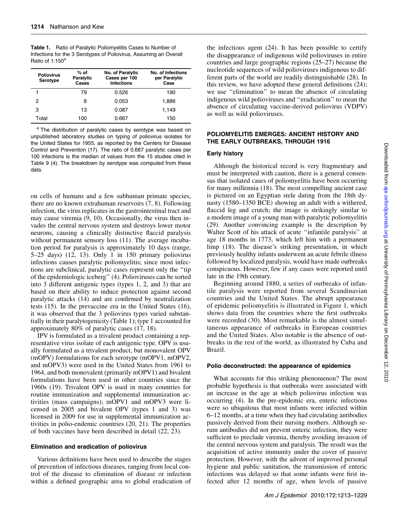|                             | <b>Table 1.</b> Ratio of Paralytic Poliomyelitis Cases to Number of |
|-----------------------------|---------------------------------------------------------------------|
|                             | Infections for the 3 Serotypes of Poliovirus, Assuming an Overall   |
| Ratio of 1:150 <sup>a</sup> |                                                                     |

| <b>Poliovirus</b><br><b>Serotype</b> | $%$ of<br>Paralytic<br>Cases | No. of Paralytic<br>Cases per 100<br><b>Infections</b> | No. of Infections<br>per Paralytic<br>Case |
|--------------------------------------|------------------------------|--------------------------------------------------------|--------------------------------------------|
|                                      | 79                           | 0.526                                                  | 190                                        |
| 2                                    | 8                            | 0.053                                                  | 1.886                                      |
| 3                                    | 13                           | 0.087                                                  | 1.149                                      |
| Total                                | 100                          | 0.667                                                  | 150                                        |

<sup>a</sup> The distribution of paralytic cases by serotype was based on unpublished laboratory studies on typing of poliovirus isolates for the United States for 1955, as reported by the Centers for Disease Control and Prevention (17). The ratio of 0.667 paralytic cases per 100 infections is the median of values from the 15 studies cited in Table 9 (4). The breakdown by serotype was computed from these data.

on cells of humans and a few subhuman primate species, there are no known extrahuman reservoirs (7, 8). Following infection, the virus replicates in the gastrointestinal tract and may cause viremia (9, 10). Occasionally, the virus then invades the central nervous system and destroys lower motor neurons, causing a clinically distinctive flaccid paralysis without permanent sensory loss (11). The average incubation period for paralysis is approximately 10 days (range, 5–25 days) (12, 13). Only 1 in 150 primary poliovirus infections causes paralytic poliomyelitis; since most infections are subclinical, paralytic cases represent only the ''tip of the epidemiologic iceberg'' (4). Polioviruses can be sorted into 3 different antigenic types (types 1, 2, and 3) that are based on their ability to induce protection against second paralytic attacks (14) and are confirmed by neutralization tests (15). In the prevaccine era in the United States (16), it was observed that the 3 poliovirus types varied substantially in their paralytogenicity (Table 1); type 1 accounted for approximately 80% of paralytic cases (17, 18).

IPV is formulated as a trivalent product containing a representative virus isolate of each antigenic type. OPV is usually formulated as a trivalent product, but monovalent OPV (mOPV) formulations for each serotype (mOPV1, mOPV2, and mOPV3) were used in the United States from 1961 to 1964, and both monovalent (primarily mOPV1) and bivalent formulations have been used in other countries since the 1960s (19). Trivalent OPV is used in many countries for routine immunization and supplemental immunization activities (mass campaigns); mOPV1 and mOPV3 were licensed in 2005 and bivalent OPV (types 1 and 3) was licensed in 2009 for use in supplemental immunization activities in polio-endemic countries (20, 21). The properties of both vaccines have been described in detail (22, 23).

#### Elimination and eradication of poliovirus

Various definitions have been used to describe the stages of prevention of infectious diseases, ranging from local control of the disease to elimination of disease or infection within a defined geographic area to global eradication of the infectious agent (24). It has been possible to certify the disappearance of indigenous wild polioviruses in entire countries and large geographic regions (25–27) because the nucleotide sequences of wild polioviruses indigenous to different parts of the world are readily distinguishable (28). In this review, we have adopted these general definitions (24); we use ''elimination'' to mean the absence of circulating indigenous wild polioviruses and ''eradication'' to mean the absence of circulating vaccine-derived poliovirus (VDPV) as well as wild polioviruses.

#### POLIOMYELITIS EMERGES: ANCIENT HISTORY AND THE EARLY OUTBREAKS, THROUGH 1916

#### Early history

Although the historical record is very fragmentary and must be interpreted with caution, there is a general consensus that isolated cases of poliomyelitis have been occurring for many millennia (18). The most compelling ancient case is pictured on an Egyptian stele dating from the 18th dynasty (1580–1350 BCE) showing an adult with a withered, flaccid leg and crutch; the image is strikingly similar to a modern image of a young man with paralytic poliomyelitis (29). Another convincing example is the description by Walter Scott of his attack of acute ''infantile paralysis'' at age 18 months in 1773, which left him with a permanent limp (18). The disease's striking presentation, in which previously healthy infants underwent an acute febrile illness followed by localized paralysis, would have made outbreaks conspicuous. However, few if any cases were reported until late in the 19th century.

Beginning around 1880, a series of outbreaks of infantile paralysis were reported from several Scandinavian countries and the United States. The abrupt appearance of epidemic poliomyelitis is illustrated in Figure 1, which shows data from the countries where the first outbreaks were recorded (30). Most remarkable is the almost simultaneous appearance of outbreaks in European countries and the United States. Also notable is the absence of outbreaks in the rest of the world, as illustrated by Cuba and Brazil.

#### Polio deconstructed: the appearance of epidemics

What accounts for this striking phenomenon? The most probable hypothesis is that outbreaks were associated with an increase in the age at which poliovirus infection was occurring (4). In the pre-epidemic era, enteric infections were so ubiquitous that most infants were infected within 6–12 months, at a time when they had circulating antibodies passively derived from their nursing mothers. Although serum antibodies did not prevent enteric infection, they were sufficient to preclude viremia, thereby avoiding invasion of the central nervous system and paralysis. The result was the acquisition of active immunity under the cover of passive protection. However, with the advent of improved personal hygiene and public sanitation, the transmission of enteric infections was delayed so that some infants were first infected after 12 months of age, when levels of passive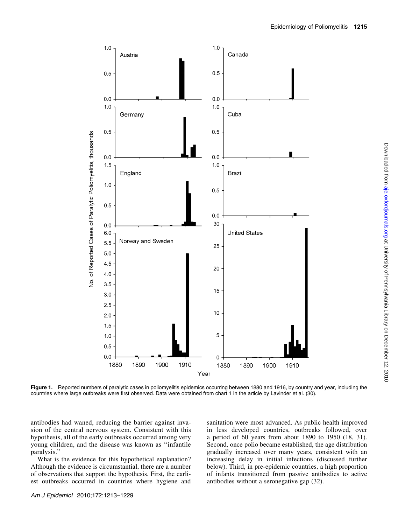

Figure 1. Reported numbers of paralytic cases in poliomyelitis epidemics occurring between 1880 and 1916, by country and year, including the countries where large outbreaks were first observed. Data were obtained from chart 1 in the article by Lavinder et al. (30).

antibodies had waned, reducing the barrier against invasion of the central nervous system. Consistent with this hypothesis, all of the early outbreaks occurred among very young children, and the disease was known as ''infantile paralysis.''

What is the evidence for this hypothetical explanation? Although the evidence is circumstantial, there are a number of observations that support the hypothesis. First, the earliest outbreaks occurred in countries where hygiene and

sanitation were most advanced. As public health improved in less developed countries, outbreaks followed, over a period of 60 years from about 1890 to 1950 (18, 31). Second, once polio became established, the age distribution gradually increased over many years, consistent with an increasing delay in initial infections (discussed further below). Third, in pre-epidemic countries, a high proportion of infants transitioned from passive antibodies to active antibodies without a seronegative gap (32).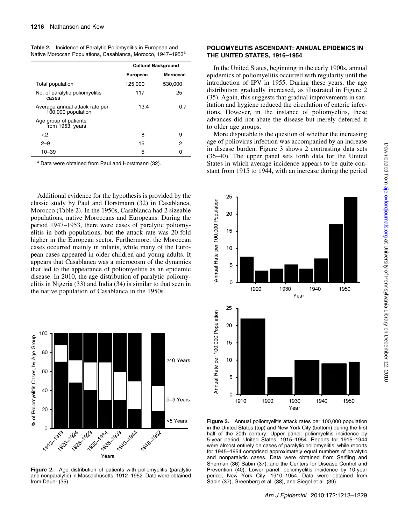|                                                      |          | <b>Cultural Background</b> |
|------------------------------------------------------|----------|----------------------------|
|                                                      | European | Moroccan                   |
| Total population                                     | 125,000  | 530,000                    |
| No. of paralytic poliomyelitis<br>cases              | 117      | 25                         |
| Average annual attack rate per<br>100,000 population | 13.4     | 0.7                        |
| Age group of patients<br>from 1953, years            |          |                            |
| ${<}2$                                               | 8        | 9                          |
| $2 - 9$                                              | 15       | 2                          |
| $10 - 39$                                            | 5        | ი                          |

Table 2. Incidence of Paralytic Poliomyelitis in European and Native Moroccan Populations, Casablanca, Morocco, 1947-1953<sup>a</sup>

<sup>a</sup> Data were obtained from Paul and Horstmann (32).

Additional evidence for the hypothesis is provided by the classic study by Paul and Horstmann (32) in Casablanca, Morocco (Table 2). In the 1950s, Casablanca had 2 sizeable populations, native Moroccans and Europeans. During the period 1947–1953, there were cases of paralytic poliomyelitis in both populations, but the attack rate was 20-fold higher in the European sector. Furthermore, the Moroccan cases occurred mainly in infants, while many of the European cases appeared in older children and young adults. It appears that Casablanca was a microcosm of the dynamics that led to the appearance of poliomyelitis as an epidemic disease. In 2010, the age distribution of paralytic poliomyelitis in Nigeria (33) and India (34) is similar to that seen in the native population of Casablanca in the 1950s.



Figure 2. Age distribution of patients with poliomyelitis (paralytic and nonparalytic) in Massachusetts, 1912–1952. Data were obtained from Dauer (35).

#### POLIOMYELITIS ASCENDANT: ANNUAL EPIDEMICS IN THE UNITED STATES, 1916–1954

In the United States, beginning in the early 1900s, annual epidemics of poliomyelitis occurred with regularity until the introduction of IPV in 1955. During these years, the age distribution gradually increased, as illustrated in Figure 2 (35). Again, this suggests that gradual improvements in sanitation and hygiene reduced the circulation of enteric infections. However, in the instance of poliomyelitis, these advances did not abate the disease but merely deferred it to older age groups.

More disputable is the question of whether the increasing age of poliovirus infection was accompanied by an increase in disease burden. Figure 3 shows 2 contrasting data sets (36–40). The upper panel sets forth data for the United States in which average incidence appears to be quite constant from 1915 to 1944, with an increase during the period



Figure 3. Annual poliomyelitis attack rates per 100,000 population in the United States (top) and New York City (bottom) during the first half of the 20th century. Upper panel: poliomyelitis incidence by 5-year period, United States, 1915–1954. Reports for 1915–1944 were almost entirely on cases of paralytic poliomyelitis, while reports for 1945–1954 comprised approximately equal numbers of paralytic and nonparalytic cases. Data were obtained from Serfling and Sherman (36) Sabin (37), and the Centers for Disease Control and Prevention (40). Lower panel: poliomyelitis incidence by 10-year period, New York City, 1910–1954. Data were obtained from Sabin (37), Greenberg et al. (38), and Siegel et al. (39).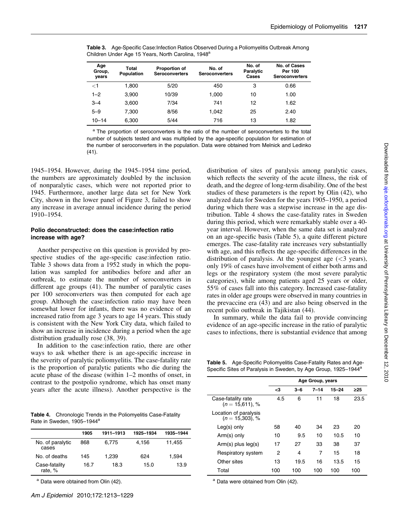| Age<br>Group,<br>vears | <b>Total</b><br><b>Population</b> | Proportion of<br><b>Seroconverters</b> | No. of<br><b>Seroconverters</b> | No. of<br>Paralytic<br>Cases | No. of Cases<br>Per 100<br><b>Seroconverters</b> |
|------------------------|-----------------------------------|----------------------------------------|---------------------------------|------------------------------|--------------------------------------------------|
| <1                     | 1.800                             | 5/20                                   | 450                             | 3                            | 0.66                                             |
| $1 - 2$                | 3.900                             | 10/39                                  | 1.000                           | 10                           | 1.00                                             |
| $3 - 4$                | 3,600                             | 7/34                                   | 741                             | 12                           | 1.62                                             |
| $5 - 9$                | 7.300                             | 8/56                                   | 1.042                           | 25                           | 2.40                                             |
| 10–14                  | 6.300                             | 5/44                                   | 716                             | 13                           | 1.82                                             |

Table 3. Age-Specific Case:Infection Ratios Observed During a Poliomyelitis Outbreak Among Children Under Age 15 Years, North Carolina, 1948<sup>a</sup>

<sup>a</sup> The proportion of seroconverters is the ratio of the number of seroconverters to the total number of subjects tested and was multiplied by the age-specific population for estimation of the number of seroconverters in the population. Data were obtained from Melnick and Ledinko (41).

1945–1954. However, during the 1945–1954 time period, the numbers are approximately doubled by the inclusion of nonparalytic cases, which were not reported prior to 1945. Furthermore, another large data set for New York City, shown in the lower panel of Figure 3, failed to show any increase in average annual incidence during the period 1910–1954.

#### Polio deconstructed: does the case:infection ratio increase with age?

Another perspective on this question is provided by prospective studies of the age-specific case:infection ratio. Table 3 shows data from a 1952 study in which the population was sampled for antibodies before and after an outbreak, to estimate the number of seroconverters in different age groups (41). The number of paralytic cases per 100 seroconverters was then computed for each age group. Although the case:infection ratio may have been somewhat lower for infants, there was no evidence of an increased ratio from age 3 years to age 14 years. This study is consistent with the New York City data, which failed to show an increase in incidence during a period when the age distribution gradually rose (38, 39).

In addition to the case:infection ratio, there are other ways to ask whether there is an age-specific increase in the severity of paralytic poliomyelitis. The case-fatality rate is the proportion of paralytic patients who die during the acute phase of the disease (within 1–2 months of onset, in contrast to the postpolio syndrome, which has onset many years after the acute illness). Another perspective is the

Table 4. Chronologic Trends in the Poliomyelitis Case-Fatality Rate in Sweden, 1905-1944<sup>a</sup>

|                           | 1905 | 1911-1913 | 1925-1934 | 1935-1944 |
|---------------------------|------|-----------|-----------|-----------|
| No. of paralytic<br>cases | 868  | 6.775     | 4.156     | 11,455    |
| No. of deaths             | 145  | 1.239     | 624       | 1,594     |
| Case-fatality<br>rate, %  | 16.7 | 18.3      | 15.0      | 13.9      |

a Data were obtained from Olin (42).

distribution of sites of paralysis among paralytic cases, which reflects the severity of the acute illness, the risk of death, and the degree of long-term disability. One of the best studies of these parameters is the report by Olin (42), who analyzed data for Sweden for the years 1905–1950, a period during which there was a stepwise increase in the age distribution. Table 4 shows the case-fatality rates in Sweden during this period, which were remarkably stable over a 40 year interval. However, when the same data set is analyzed on an age-specific basis (Table 5), a quite different picture emerges. The case-fatality rate increases very substantially with age, and this reflects the age-specific differences in the distribution of paralysis. At the youngest age  $( $3$  years),$ only 19% of cases have involvement of either both arms and legs or the respiratory system (the most severe paralytic categories), while among patients aged 25 years or older, 55% of cases fall into this category. Increased case-fatality rates in older age groups were observed in many countries in the prevaccine era (43) and are also being observed in the recent polio outbreak in Tajikistan (44).

In summary, while the data fail to provide convincing evidence of an age-specific increase in the ratio of paralytic cases to infections, there is substantial evidence that among

Table 5. Age-Specific Poliomyelitis Case-Fatality Rates and Age-Specific Sites of Paralysis in Sweden, by Age Group, 1925-1944<sup>a</sup>

|                                             |     |         | Age Group, years |           |      |
|---------------------------------------------|-----|---------|------------------|-----------|------|
|                                             | <3  | $3 - 6$ | 7–14             | $15 - 24$ | >25  |
| Case-fatality rate<br>$(n = 15.611), %$     | 4.5 | 6       | 11               | 18        | 23.5 |
| Location of paralysis<br>$(n = 15,303)$ , % |     |         |                  |           |      |
| $Leg(s)$ only                               | 58  | 40      | 34               | 23        | 20   |
| Arm(s) only                                 | 10  | 9.5     | 10               | 10.5      | 10   |
| $Arm(s)$ plus $leg(s)$                      | 17  | 27      | 33               | 38        | 37   |
| Respiratory system                          | 2   | 4       | 7                | 15        | 18   |
| Other sites                                 | 13  | 19.5    | 16               | 13.5      | 15   |
| Total                                       | 100 | 100     | 100              | 100       | 100  |

a Data were obtained from Olin (42).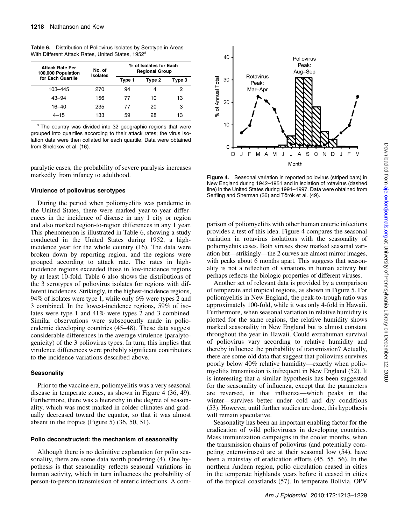| <b>Attack Rate Per</b><br>100,000 Population | No. of<br><b>Isolates</b> | % of Isolates for Each<br><b>Regional Group</b> |        |        |  |  |  |
|----------------------------------------------|---------------------------|-------------------------------------------------|--------|--------|--|--|--|
| for Each Quartile                            |                           | Type 1                                          | Type 2 | Type 3 |  |  |  |
| 103-445                                      | 270                       | 94                                              |        | 2      |  |  |  |
| $43 - 94$                                    | 156                       | 77                                              | 10     | 13     |  |  |  |
| 16–40                                        | 235                       | 77                                              | 20     | З      |  |  |  |
| $4 - 15$                                     | 133                       | 59                                              | 28     | 13     |  |  |  |

Table 6. Distribution of Poliovirus Isolates by Serotype in Areas With Different Attack Rates, United States, 1952<sup>a</sup>

a The country was divided into 32 geographic regions that were grouped into quartiles according to their attack rates; the virus isolation data were then collated for each quartile. Data were obtained from Shelokov et al. (16).

paralytic cases, the probability of severe paralysis increases markedly from infancy to adulthood.

#### Virulence of poliovirus serotypes

During the period when poliomyelitis was pandemic in the United States, there were marked year-to-year differences in the incidence of disease in any 1 city or region and also marked region-to-region differences in any 1 year. This phenomenon is illustrated in Table 6, showing a study conducted in the United States during 1952, a highincidence year for the whole country (16). The data were broken down by reporting region, and the regions were grouped according to attack rate. The rates in highincidence regions exceeded those in low-incidence regions by at least 10-fold. Table 6 also shows the distributions of the 3 serotypes of poliovirus isolates for regions with different incidences. Strikingly, in the highest-incidence regions, 94% of isolates were type 1, while only 6% were types 2 and 3 combined. In the lowest-incidence regions, 59% of isolates were type 1 and 41% were types 2 and 3 combined. Similar observations were subsequently made in polioendemic developing countries (45–48). These data suggest considerable differences in the average virulence (paralytogenicity) of the 3 poliovirus types. In turn, this implies that virulence differences were probably significant contributors to the incidence variations described above.

#### **Seasonality**

Prior to the vaccine era, poliomyelitis was a very seasonal disease in temperate zones, as shown in Figure 4 (36, 49). Furthermore, there was a hierarchy in the degree of seasonality, which was most marked in colder climates and gradually decreased toward the equator, so that it was almost absent in the tropics (Figure 5) (36, 50, 51).

#### Polio deconstructed: the mechanism of seasonality

Although there is no definitive explanation for polio seasonality, there are some data worth pondering (4). One hypothesis is that seasonality reflects seasonal variations in human activity, which in turn influences the probability of person-to-person transmission of enteric infections. A com-



Figure 4. Seasonal variation in reported poliovirus (striped bars) in New England during 1942–1951 and in isolation of rotavirus (dashed line) in the United States during 1991–1997. Data were obtained from Serfling and Sherman (36) and Török et al. (49).

parison of poliomyelitis with other human enteric infections provides a test of this idea. Figure 4 compares the seasonal variation in rotavirus isolations with the seasonality of poliomyelitis cases. Both viruses show marked seasonal variation but—strikingly—the 2 curves are almost mirror images, with peaks about 6 months apart. This suggests that seasonality is not a reflection of variations in human activity but perhaps reflects the biologic properties of different viruses.

Another set of relevant data is provided by a comparison of temperate and tropical regions, as shown in Figure 5. For poliomyelitis in New England, the peak-to-trough ratio was approximately 100-fold, while it was only 4-fold in Hawaii. Furthermore, when seasonal variation in relative humidity is plotted for the same regions, the relative humidity shows marked seasonality in New England but is almost constant throughout the year in Hawaii. Could extrahuman survival of poliovirus vary according to relative humidity and thereby influence the probability of transmission? Actually, there are some old data that suggest that poliovirus survives poorly below 40% relative humidity—exactly when poliomyelitis transmission is infrequent in New England (52). It is interesting that a similar hypothesis has been suggested for the seasonality of influenza, except that the parameters are reversed, in that influenza—which peaks in the winter—survives better under cold and dry conditions (53). However, until further studies are done, this hypothesis will remain speculative.

Seasonality has been an important enabling factor for the eradication of wild polioviruses in developing countries. Mass immunization campaigns in the cooler months, when the transmission chains of poliovirus (and potentially competing enteroviruses) are at their seasonal low (54), have been a mainstay of eradication efforts (45, 55, 56). In the northern Andean region, polio circulation ceased in cities in the temperate highlands years before it ceased in cities of the tropical coastlands (57). In temperate Bolivia, OPV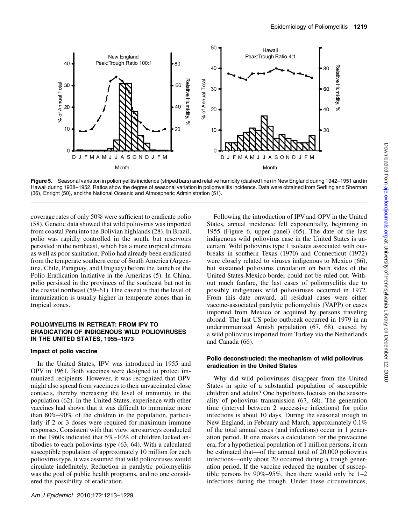

Figure 5. Seasonal variation in poliomyelitis incidence (striped bars) and relative humidity (dashed line) in New England during 1942-1951 and in Hawaii during 1938–1952. Ratios show the degree of seasonal variation in poliomyelitis incidence. Data were obtained from Serfling and Sherman (36), Enright (50), and the National Oceanic and Atmospheric Administration (51).

coverage rates of only 50% were sufficient to eradicate polio (58). Genetic data showed that wild poliovirus was imported from coastal Peru into the Bolivian highlands (28). In Brazil, polio was rapidly controlled in the south, but reservoirs persisted in the northeast, which has a more tropical climate as well as poor sanitation. Polio had already been eradicated from the temperate southern cone of South America (Argentina, Chile, Paraguay, and Uruguay) before the launch of the Polio Eradication Initiative in the Americas (5). In China, polio persisted in the provinces of the southeast but not in the coastal northeast (59–61). One caveat is that the level of immunization is usually higher in temperate zones than in tropical zones.

#### POLIOMYELITIS IN RETREAT: FROM IPV TO ERADICATION OF INDIGENOUS WILD POLIOVIRUSES IN THE UNITED STATES, 1955–1973

#### Impact of polio vaccine

In the United States, IPV was introduced in 1955 and OPV in 1961. Both vaccines were designed to protect immunized recipients. However, it was recognized that OPV might also spread from vaccinees to their unvaccinated close contacts, thereby increasing the level of immunity in the population (62). In the United States, experience with other vaccines had shown that it was difficult to immunize more than 80%–90% of the children in the population, particularly if 2 or 3 doses were required for maximum immune responses. Consistent with that view, serosurveys conducted in the 1960s indicated that 5%–10% of children lacked antibodies to each poliovirus type (63, 64). With a calculated susceptible population of approximately 10 million for each poliovirus type, it was assumed that wild polioviruses would circulate indefinitely. Reduction in paralytic poliomyelitis was the goal of public health programs, and no one considered the possibility of eradication.

Following the introduction of IPV and OPV in the United States, annual incidence fell exponentially, beginning in 1955 (Figure 6, upper panel) (65). The date of the last indigenous wild poliovirus case in the United States is uncertain. Wild poliovirus type 1 isolates associated with outbreaks in southern Texas (1970) and Connecticut (1972) were closely related to viruses indigenous to Mexico (66), but sustained poliovirus circulation on both sides of the United States-Mexico border could not be ruled out. Without much fanfare, the last cases of poliomyelitis due to possibly indigenous wild polioviruses occurred in 1972. From this date onward, all residual cases were either vaccine-associated paralytic poliomyelitis (VAPP) or cases imported from Mexico or acquired by persons traveling abroad. The last US polio outbreak occurred in 1979 in an underimmunized Amish population (67, 68), caused by a wild poliovirus imported from Turkey via the Netherlands and Canada (66).

#### Polio deconstructed: the mechanism of wild poliovirus eradication in the United States

Why did wild polioviruses disappear from the United States in spite of a substantial population of susceptible children and adults? One hypothesis focuses on the seasonality of poliovirus transmission (67, 68). The generation time (interval between 2 successive infections) for polio infections is about 10 days. During the seasonal trough in New England, in February and March, approximately 0.1% of the total annual cases (and infections) occur in 1 generation period. If one makes a calculation for the prevaccine era, for a hypothetical population of 1 million persons, it can be estimated that—of the annual total of 20,000 poliovirus infections—only about 20 occurred during a trough generation period. If the vaccine reduced the number of susceptible persons by  $90\% - 95\%$ , then there would only be  $1-2$ infections during the trough. Under these circumstances,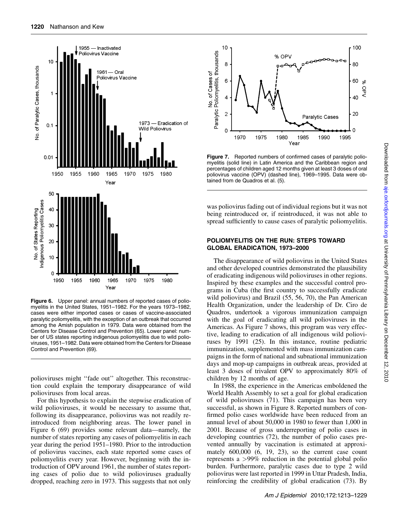

Figure 6. Upper panel: annual numbers of reported cases of poliomyelitis in the United States, 1951–1982. For the years 1973–1982, cases were either imported cases or cases of vaccine-associated paralytic poliomyelitis, with the exception of an outbreak that occurred among the Amish population in 1979. Data were obtained from the Centers for Disease Control and Prevention (65). Lower panel: number of US states reporting indigenous poliomyelitis due to wild polioviruses, 1951–1982. Data were obtained from the Centers for Disease Control and Prevention (69).

polioviruses might ''fade out'' altogether. This reconstruction could explain the temporary disappearance of wild polioviruses from local areas.

For this hypothesis to explain the stepwise eradication of wild polioviruses, it would be necessary to assume that, following its disappearance, poliovirus was not readily reintroduced from neighboring areas. The lower panel in Figure 6 (69) provides some relevant data—namely, the number of states reporting any cases of poliomyelitis in each year during the period 1951–1980. Prior to the introduction of poliovirus vaccines, each state reported some cases of poliomyelitis every year. However, beginning with the introduction of OPV around 1961, the number of states reporting cases of polio due to wild polioviruses gradually dropped, reaching zero in 1973. This suggests that not only



Figure 7. Reported numbers of confirmed cases of paralytic poliomyelitis (solid line) in Latin America and the Caribbean region and percentages of children aged 12 months given at least 3 doses of oral poliovirus vaccine (OPV) (dashed line), 1969–1995. Data were obtained from de Quadros et al. (5).

was poliovirus fading out of individual regions but it was not being reintroduced or, if reintroduced, it was not able to spread sufficiently to cause cases of paralytic poliomyelitis.

#### POLIOMYELITIS ON THE RUN: STEPS TOWARD GLOBAL ERADICATION, 1973–2000

The disappearance of wild poliovirus in the United States and other developed countries demonstrated the plausibility of eradicating indigenous wild polioviruses in other regions. Inspired by these examples and the successful control programs in Cuba (the first country to successfully eradicate wild poliovirus) and Brazil (55, 56, 70), the Pan American Health Organization, under the leadership of Dr. Ciro de Quadros, undertook a vigorous immunization campaign with the goal of eradicating all wild polioviruses in the Americas. As Figure 7 shows, this program was very effective, leading to eradication of all indigenous wild polioviruses by 1991 (25). In this instance, routine pediatric immunization, supplemented with mass immunization campaigns in the form of national and subnational immunization days and mop-up campaigns in outbreak areas, provided at least 3 doses of trivalent OPV to approximately 80% of children by 12 months of age.

In 1988, the experience in the Americas emboldened the World Health Assembly to set a goal for global eradication of wild polioviruses (71). This campaign has been very successful, as shown in Figure 8. Reported numbers of confirmed polio cases worldwide have been reduced from an annual level of about 50,000 in 1980 to fewer than 1,000 in 2001. Because of gross underreporting of polio cases in developing countries (72), the number of polio cases prevented annually by vaccination is estimated at approximately 600,000 (6, 19, 23), so the current case count represents a >99% reduction in the potential global polio burden. Furthermore, paralytic cases due to type 2 wild poliovirus were last reported in 1999 in Uttar Pradesh, India, reinforcing the credibility of global eradication (73). By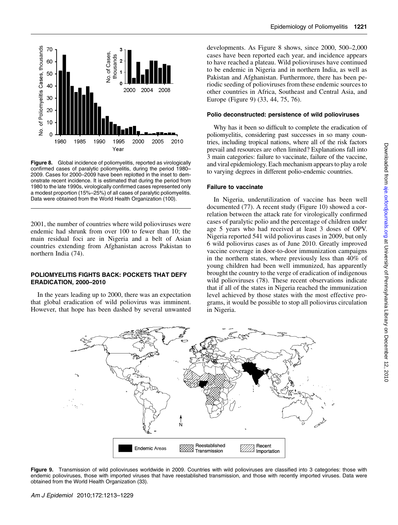

Figure 8. Global incidence of poliomyelitis, reported as virologically confirmed cases of paralytic poliomyelitis, during the period 1980– 2009. Cases for 2000–2009 have been replotted in the inset to demonstrate recent incidence. It is estimated that during the period from 1980 to the late 1990s, virologically confirmed cases represented only a modest proportion (15%–25%) of all cases of paralytic poliomyelitis. Data were obtained from the World Health Organization (100).

2001, the number of countries where wild polioviruses were endemic had shrunk from over 100 to fewer than 10; the main residual foci are in Nigeria and a belt of Asian countries extending from Afghanistan across Pakistan to northern India (74).

#### POLIOMYELITIS FIGHTS BACK: POCKETS THAT DEFY ERADICATION, 2000–2010

In the years leading up to 2000, there was an expectation that global eradication of wild poliovirus was imminent. However, that hope has been dashed by several unwanted developments. As Figure 8 shows, since 2000, 500–2,000 cases have been reported each year, and incidence appears to have reached a plateau. Wild polioviruses have continued to be endemic in Nigeria and in northern India, as well as Pakistan and Afghanistan. Furthermore, there has been periodic seeding of polioviruses from these endemic sources to other countries in Africa, Southeast and Central Asia, and Europe (Figure 9) (33, 44, 75, 76).

#### Polio deconstructed: persistence of wild polioviruses

Why has it been so difficult to complete the eradication of poliomyelitis, considering past successes in so many countries, including tropical nations, where all of the risk factors prevail and resources are often limited? Explanations fall into 3 main categories: failure to vaccinate, failure of the vaccine, and viral epidemiology. Each mechanism appears to play a role to varying degrees in different polio-endemic countries.

#### Failure to vaccinate

In Nigeria, underutilization of vaccine has been well documented (77). A recent study (Figure 10) showed a correlation between the attack rate for virologically confirmed cases of paralytic polio and the percentage of children under age 5 years who had received at least 3 doses of OPV. Nigeria reported 541 wild poliovirus cases in 2009, but only 6 wild poliovirus cases as of June 2010. Greatly improved vaccine coverage in door-to-door immunization campaigns in the northern states, where previously less than 40% of young children had been well immunized, has apparently brought the country to the verge of eradication of indigenous wild polioviruses (78). These recent observations indicate that if all of the states in Nigeria reached the immunization level achieved by those states with the most effective programs, it would be possible to stop all poliovirus circulation in Nigeria.



Figure 9. Transmission of wild polioviruses worldwide in 2009. Countries with wild polioviruses are classified into 3 categories: those with endemic polioviruses, those with imported viruses that have reestablished transmission, and those with recently imported viruses. Data were obtained from the World Health Organization (33).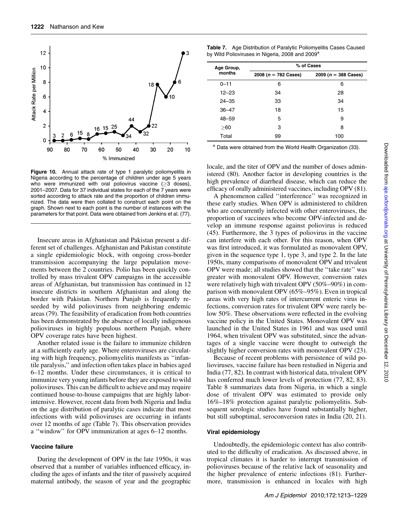

Figure 10. Annual attack rate of type 1 paralytic poliomyelitis in Nigeria according to the percentage of children under age 5 years who were immunized with oral poliovirus vaccine  $(>3$  doses), 2001–2007. Data for 37 individual states for each of the 7 years were sorted according to attack rate and the proportion of children immunized. The data were then collated to construct each point on the graph. Shown next to each point is the number of instances with the parameters for that point. Data were obtained from Jenkins et al. (77).

Insecure areas in Afghanistan and Pakistan present a different set of challenges. Afghanistan and Pakistan constitute a single epidemiologic block, with ongoing cross-border transmission accompanying the large population movements between the 2 countries. Polio has been quickly controlled by mass trivalent OPV campaigns in the accessible areas of Afghanistan, but transmission has continued in 12 insecure districts in southern Afghanistan and along the border with Pakistan. Northern Punjab is frequently reseeded by wild polioviruses from neighboring endemic areas (79). The feasibility of eradication from both countries has been demonstrated by the absence of locally indigenous polioviruses in highly populous northern Punjab, where OPV coverage rates have been highest.

Another related issue is the failure to immunize children at a sufficiently early age. Where enteroviruses are circulating with high frequency, poliomyelitis manifests as ''infantile paralysis,'' and infection often takes place in babies aged 6–12 months. Under these circumstances, it is critical to immunize very young infants before they are exposed to wild polioviruses. This can be difficult to achieve and may require continued house-to-house campaigns that are highly laborintensive. However, recent data from both Nigeria and India on the age distribution of paralytic cases indicate that most infections with wild polioviruses are occurring in infants over 12 months of age (Table 7). This observation provides a ''window'' for OPV immunization at ages 6–12 months.

#### Vaccine failure

During the development of OPV in the late 1950s, it was observed that a number of variables influenced efficacy, including the ages of infants and the titer of passively acquired maternal antibody, the season of year and the geographic

| <b>Table 7.</b> Age Distribution of Paralytic Poliomyelitis Cases Caused |
|--------------------------------------------------------------------------|
| by Wild Polioviruses in Nigeria, 2008 and 2009 <sup>a</sup>              |

| Age Group, | % of Cases              |                         |  |  |  |  |  |
|------------|-------------------------|-------------------------|--|--|--|--|--|
| months     | 2008 ( $n = 782$ Cases) | 2009 ( $n = 388$ Cases) |  |  |  |  |  |
| $0 - 11$   | 6                       | 6                       |  |  |  |  |  |
| $12 - 23$  | 34                      | 28                      |  |  |  |  |  |
| $24 - 35$  | 33                      | 34                      |  |  |  |  |  |
| $36 - 47$  | 18                      | 15                      |  |  |  |  |  |
| $48 - 59$  | 5                       | 9                       |  |  |  |  |  |
| > 60       | 3                       | 8                       |  |  |  |  |  |
| Total      | 99                      | 100                     |  |  |  |  |  |

Data were obtained from the World Health Organization (33).

locale, and the titer of OPV and the number of doses administered (80). Another factor in developing countries is the high prevalence of diarrheal disease, which can reduce the efficacy of orally administered vaccines, including OPV (81).

A phenomenon called ''interference'' was recognized in these early studies. When OPV is administered to children who are concurrently infected with other enteroviruses, the proportion of vaccinees who become OPV-infected and develop an immune response against poliovirus is reduced (45). Furthermore, the 3 types of poliovirus in the vaccine can interfere with each other. For this reason, when OPV was first introduced, it was formulated as monovalent OPV, given in the sequence type 1, type 3, and type 2. In the late 1950s, many comparisons of monovalent OPV and trivalent OPV were made; all studies showed that the ''take rate'' was greater with monovalent OPV. However, conversion rates were relatively high with trivalent OPV (50%–90%) in comparison with monovalent OPV (65%–95%). Even in tropical areas with very high rates of intercurrent enteric virus infections, conversion rates for trivalent OPV were rarely below 50%. These observations were reflected in the evolving vaccine policy in the United States. Monovalent OPV was launched in the United States in 1961 and was used until 1964, when trivalent OPV was substituted, since the advantages of a single vaccine were thought to outweigh the slightly higher conversion rates with monovalent OPV (23).

Because of recent problems with persistence of wild polioviruses, vaccine failure has been restudied in Nigeria and India (77, 82). In contrast with historical data, trivalent OPV has conferred much lower levels of protection (77, 82, 83). Table 8 summarizes data from Nigeria, in which a single dose of trivalent OPV was estimated to provide only 16%–18% protection against paralytic poliomyelitis. Subsequent serologic studies have found substantially higher, but still suboptimal, seroconversion rates in India (20, 21).

#### Viral epidemiology

Undoubtedly, the epidemiologic context has also contributed to the difficulty of eradication. As discussed above, in tropical climates it is harder to interrupt transmission of polioviruses because of the relative lack of seasonality and the higher prevalence of enteric infections (81). Furthermore, transmission is enhanced in locales with high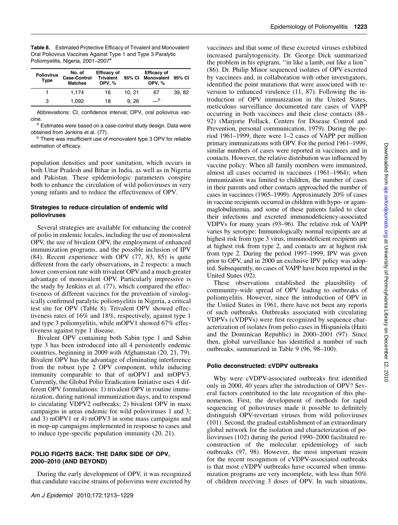| <b>Table 8.</b> Estimated Protective Efficacy of Trivalent and Monovalent |
|---------------------------------------------------------------------------|
| Oral Poliovirus Vaccines Against Type 1 and Type 3 Paralytic              |
| Poliomyelitis, Nigeria, 2001-2007 <sup>a</sup>                            |

| <b>Poliovirus</b><br><b>Type</b> | No. of<br><b>Case-Control</b><br><b>Matches</b> | <b>Efficacy of</b><br><b>Trivalent</b><br>OPV.% |       | <b>Efficacy of</b><br>95% CI Monovalent 95% CI<br>OPV.% |       |
|----------------------------------|-------------------------------------------------|-------------------------------------------------|-------|---------------------------------------------------------|-------|
|                                  | 1.174                                           | 16                                              | 10.21 | 67                                                      | 39.82 |
| 3                                | 1.092                                           | 18                                              | 9.26  | $\overline{\phantom{0}}$                                |       |

Abbreviations: CI, confidence interval; OPV, oral poliovirus vac-

cine.<br><sup>a</sup> Estimates were based on a case-control study design. Data were obtained from Jenkins et al. (77).

b There was insufficient use of monovalent type 3 OPV for reliable estimation of efficacy.

population densities and poor sanitation, which occurs in both Uttar Pradesh and Bihar in India, as well as in Nigeria and Pakistan. These epidemiologic parameters conspire both to enhance the circulation of wild polioviruses in very young infants and to reduce the effectiveness of OPV.

#### Strategies to reduce circulation of endemic wild polioviruses

Several strategies are available for enhancing the control of polio in endemic locales, including the use of monovalent OPV, the use of bivalent OPV, the employment of enhanced immunization programs, and the possible inclusion of IPV (84). Recent experience with OPV (77, 83, 85) is quite different from the early observations, in 2 respects: a much lower conversion rate with trivalent OPV and a much greater advantage of monovalent OPV. Particularly impressive is the study by Jenkins et al. (77), which compared the effectiveness of different vaccines for the prevention of virologically confirmed paralytic poliomyelitis in Nigeria, a critical test site for OPV (Table 8). Trivalent OPV showed effectiveness rates of 16% and 18%, respectively, against type 1 and type 3 poliomyelitis, while mOPV1 showed 67% effectiveness against type 1 disease.

Bivalent OPV containing both Sabin type 1 and Sabin type 3 has been introduced into all 4 persistently endemic countries, beginning in 2009 with Afghanistan (20, 21, 79). Bivalent OPV has the advantage of eliminating interference from the robust type 2 OPV component, while inducing immunity comparable to that of mOPV1 and mOPV3. Currently, the Global Polio Eradication Initiative uses 4 different OPV formulations: 1) trivalent OPV in routine immunization, during national immunization days, and to respond to circulating VDPV2 outbreaks; 2) bivalent OPV in mass campaigns in areas endemic for wild polioviruses 1 and 3; and 3) mOPV1 or 4) mOPV3 in some mass campaigns and in mop-up campaigns implemented in response to cases and to induce type-specific population immunity (20, 21).

#### POLIO FIGHTS BACK: THE DARK SIDE OF OPV, 2000–2010 (AND BEYOND)

During the early development of OPV, it was recognized that candidate vaccine strains of poliovirus were excreted by

vaccinees and that some of these excreted viruses exhibited increased paralytogenicity. Dr. George Dick summarized the problem in his epigram, ''in like a lamb, out like a lion'' (86). Dr. Philip Minor sequenced isolates of OPV excreted by vaccinees and, in collaboration with other investigators, identified the point mutations that were associated with reversion to enhanced virulence (11, 87). Following the introduction of OPV immunization in the United States, meticulous surveillance documented rare cases of VAPP occurring in both vaccinees and their close contacts (88– 92) (Marjorie Pollack, Centers for Disease Control and Prevention, personal communication, 1979). During the period 1961–1999, there were 1–2 cases of VAPP per million primary immunizations with OPV. For the period 1961–1999, similar numbers of cases were reported in vaccinees and in contacts. However, the relative distribution was influenced by vaccine policy: When all family members were immunized, almost all cases occurred in vaccinees (1961–1964); when immunization was limited to children, the number of cases in their parents and other contacts approached the number of cases in vaccinees (1965–1999). Approximately 20% of cases in vaccine recipients occurred in children with hypo- or agammaglobulinemia, and some of these patients failed to clear their infections and excreted immunodeficiency-associated VDPVs for many years (93–96). The relative risk of VAPP varies by serotype: Immunologically normal recipients are at highest risk from type 3 virus, immunodeficient recipients are at highest risk from type 2, and contacts are at highest risk from type 2. During the period 1997–1999, IPV was given prior to OPV, and in 2000 an exclusive IPV policy was adopted. Subsequently, no cases of VAPP have been reported in the United States (92).

These observations established the plausibility of community-wide spread of OPV leading to outbreaks of poliomyelitis. However, since the introduction of OPV in the United States in 1961, there have not been any reports of such outbreaks. Outbreaks associated with circulating VDPVs (cVDPVs) were first recognized by sequence characterization of isolates from polio cases in Hispaniola (Haiti and the Dominican Republic) in 2000–2001 (97). Since then, global surveillance has identified a number of such outbreaks, summarized in Table 9 (96, 98–100).

#### Polio deconstructed: cVDPV outbreaks

Why were cVDPV-associated outbreaks first identified only in 2000, 40 years after the introduction of OPV? Several factors contributed to the late recognition of this phenomenon. First, the development of methods for rapid sequencing of polioviruses made it possible to definitely distinguish OPV-revertant viruses from wild polioviruses (101). Second, the gradual establishment of an extraordinary global network for the isolation and characterization of polioviruses (102) during the period 1990–2000 facilitated reconstruction of the molecular epidemiology of such outbreaks (97, 98). However, the most important reason for the recent recognition of cVDPV-associated outbreaks is that most cVDPV outbreaks have occurred when immunization programs are very incomplete, with less than 50% of children receiving 3 doses of OPV. In such situations,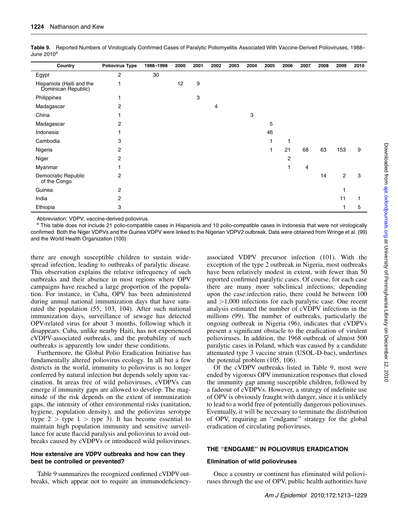| Country                                          | <b>Poliovirus Type</b> | 1988-1998 | 2000 | 2001 | 2002 | 2003 | 2004 | 2005 | 2006           | 2007 | 2008 | 2009           | 2010 |
|--------------------------------------------------|------------------------|-----------|------|------|------|------|------|------|----------------|------|------|----------------|------|
| Egypt                                            | $\overline{2}$         | 30        |      |      |      |      |      |      |                |      |      |                |      |
| Hispaniola (Haiti and the<br>Dominican Republic) |                        |           | 12   | 9    |      |      |      |      |                |      |      |                |      |
| Philippines                                      |                        |           |      | 3    |      |      |      |      |                |      |      |                |      |
| Madagascar                                       | $\overline{2}$         |           |      |      | 4    |      |      |      |                |      |      |                |      |
| China                                            |                        |           |      |      |      |      | 3    |      |                |      |      |                |      |
| Madagascar                                       | $\overline{2}$         |           |      |      |      |      |      | 5    |                |      |      |                |      |
| Indonesia                                        |                        |           |      |      |      |      |      | 46   |                |      |      |                |      |
| Cambodia                                         | 3                      |           |      |      |      |      |      |      |                |      |      |                |      |
| Nigeria                                          | 2                      |           |      |      |      |      |      |      | 21             | 68   | 63   | 153            | 9    |
| Niger                                            | 2                      |           |      |      |      |      |      |      | $\overline{2}$ |      |      |                |      |
| Myanmar                                          |                        |           |      |      |      |      |      |      |                | 4    |      |                |      |
| Democratic Republic<br>of the Congo              | 2                      |           |      |      |      |      |      |      |                |      | 14   | $\overline{2}$ | 3    |
| Guinea                                           | 2                      |           |      |      |      |      |      |      |                |      |      |                |      |
| India                                            | 2                      |           |      |      |      |      |      |      |                |      |      | 11             |      |
| Ethiopia                                         | 3                      |           |      |      |      |      |      |      |                |      |      |                | 5    |

Table 9. Reported Numbers of Virologically Confirmed Cases of Paralytic Poliomyelitis Associated With Vaccine-Derived Polioviruses, 1988-June  $2010^a$ 

Abbreviation: VDPV, vaccine-derived poliovirus.

<sup>a</sup> This table does not include 21 polio-compatible cases in Hispaniola and 10 polio-compatible cases in Indonesia that were not virologically confirmed. Both the Niger VDPVs and the Guinea VDPV were linked to the Nigerian VDPV2 outbreak. Data were obtained from Wringe et al. (99) and the World Health Organization (100).

there are enough susceptible children to sustain widespread infection, leading to outbreaks of paralytic disease. This observation explains the relative infrequency of such outbreaks and their absence in most regions where OPV campaigns have reached a large proportion of the population. For instance, in Cuba, OPV has been administered during annual national immunization days that have saturated the population (55, 103, 104). After such national immunization days, surveillance of sewage has detected OPV-related virus for about 3 months, following which it disappears. Cuba, unlike nearby Haiti, has not experienced cVDPV-associated outbreaks, and the probability of such outbreaks is apparently low under these conditions.

Furthermore, the Global Polio Eradication Initiative has fundamentally altered poliovirus ecology. In all but a few districts in the world, immunity to poliovirus is no longer conferred by natural infection but depends solely upon vaccination. In areas free of wild polioviruses, cVDPVs can emerge if immunity gaps are allowed to develop. The magnitude of the risk depends on the extent of immunization gaps, the intensity of other environmental risks (sanitation, hygiene, population density), and the poliovirus serotype (type  $2 >$  type  $1 >$  type 3). It has become essential to maintain high population immunity and sensitive surveillance for acute flaccid paralysis and poliovirus to avoid outbreaks caused by cVDPVs or introduced wild polioviruses.

#### How extensive are VDPV outbreaks and how can they best be controlled or prevented?

Table 9 summarizes the recognized confirmed cVDPV outbreaks, which appear not to require an immunodeficiencyassociated VDPV precursor infection (101). With the exception of the type 2 outbreak in Nigeria, most outbreaks have been relatively modest in extent, with fewer than 50 reported confirmed paralytic cases. Of course, for each case there are many more subclinical infections; depending upon the case:infection ratio, there could be between 100 and >1,000 infections for each paralytic case. One recent analysis estimated the number of cVDPV infections in the millions (99). The number of outbreaks, particularly the ongoing outbreak in Nigeria (96), indicates that cVDPVs present a significant obstacle to the eradication of virulent polioviruses. In addition, the 1968 outbreak of almost 500 paralytic cases in Poland, which was caused by a candidate attenuated type 3 vaccine strain (USOL-D-bac), underlines the potential problem (105, 106).

Of the cVDPV outbreaks listed in Table 9, most were ended by vigorous OPV immunization responses that closed the immunity gap among susceptible children, followed by a fadeout of cVDPVs. However, a strategy of indefinite use of OPV is obviously fraught with danger, since it is unlikely to lead to a world free of potentially dangerous polioviruses. Eventually, it will be necessary to terminate the distribution of OPV, requiring an ''endgame'' strategy for the global eradication of circulating polioviruses.

#### THE ''ENDGAME'' IN POLIOVIRUS ERADICATION

#### Elimination of wild polioviruses

Once a country or continent has eliminated wild polioviruses through the use of OPV, public health authorities have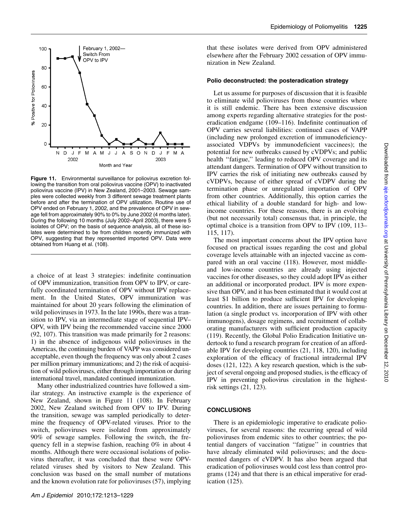

Figure 11. Environmental surveillance for poliovirus excretion following the transition from oral poliovirus vaccine (OPV) to inactivated poliovirus vaccine (IPV) in New Zealand, 2001–2003. Sewage samples were collected weekly from 3 different sewage treatment plants before and after the termination of OPV utilization. Routine use of OPV ended on February 1, 2002, and the prevalence of OPV in sewage fell from approximately 90% to 0% by June 2002 (4 months later). During the following 10 months (July 2002–April 2003), there were 5 isolates of OPV; on the basis of sequence analysis, all of these isolates were determined to be from children recently immunized with OPV, suggesting that they represented imported OPV. Data were obtained from Huang et al. (108).

a choice of at least 3 strategies: indefinite continuation of OPV immunization, transition from OPV to IPV, or carefully coordinated termination of OPV without IPV replacement. In the United States, OPV immunization was maintained for about 20 years following the elimination of wild polioviruses in 1973. In the late 1990s, there was a transition to IPV, via an intermediate stage of sequential IPV– OPV, with IPV being the recommended vaccine since 2000 (92, 107). This transition was made primarily for 2 reasons: 1) in the absence of indigenous wild polioviruses in the Americas, the continuing burden of VAPP was considered unacceptable, even though the frequency was only about 2 cases per million primary immunizations; and 2) the risk of acquisition of wild polioviruses, either through importation or during international travel, mandated continued immunization.

Many other industrialized countries have followed a similar strategy. An instructive example is the experience of New Zealand, shown in Figure 11 (108). In February 2002, New Zealand switched from OPV to IPV. During the transition, sewage was sampled periodically to determine the frequency of OPV-related viruses. Prior to the switch, polioviruses were isolated from approximately 90% of sewage samples. Following the switch, the frequency fell in a stepwise fashion, reaching 0% in about 4 months. Although there were occasional isolations of poliovirus thereafter, it was concluded that these were OPVrelated viruses shed by visitors to New Zealand. This conclusion was based on the small number of mutations and the known evolution rate for polioviruses (57), implying

that these isolates were derived from OPV administered elsewhere after the February 2002 cessation of OPV immunization in New Zealand.

#### Polio deconstructed: the posteradication strategy

Let us assume for purposes of discussion that it is feasible to eliminate wild polioviruses from those countries where it is still endemic. There has been extensive discussion among experts regarding alternative strategies for the posteradication endgame (109–116). Indefinite continuation of OPV carries several liabilities: continued cases of VAPP (including new prolonged excretion of immunodeficiencyassociated VDPVs by immunodeficient vaccinees); the potential for new outbreaks caused by cVDPVs; and public health "fatigue," leading to reduced OPV coverage and its attendant dangers. Termination of OPV without transition to IPV carries the risk of initiating new outbreaks caused by cVDPVs, because of either spread of cVDPV during the termination phase or unregulated importation of OPV from other countries. Additionally, this option carries the ethical liability of a double standard for high- and lowincome countries. For these reasons, there is an evolving (but not necessarily total) consensus that, in principle, the optimal choice is a transition from OPV to IPV (109, 113– 115, 117).

The most important concerns about the IPV option have focused on practical issues regarding the cost and global coverage levels attainable with an injected vaccine as compared with an oral vaccine (118). However, most middleand low-income countries are already using injected vaccines for other diseases, so they could adopt IPV as either an additional or incorporated product. IPV is more expensive than OPV, and it has been estimated that it would cost at least \$1 billion to produce sufficient IPV for developing countries. In addition, there are issues pertaining to formulation (a single product vs. incorporation of IPV with other immunogens), dosage regimens, and recruitment of collaborating manufacturers with sufficient production capacity (119). Recently, the Global Polio Eradication Initiative undertook to fund a research program for creation of an affordable IPV for developing countries (21, 118, 120), including exploration of the efficacy of fractional intradermal IPV doses (121, 122). A key research question, which is the subject of several ongoing and proposed studies, is the efficacy of IPV in preventing poliovirus circulation in the highestrisk settings (21, 123).

#### **CONCLUSIONS**

There is an epidemiologic imperative to eradicate polioviruses, for several reasons: the recurring spread of wild polioviruses from endemic sites to other countries; the potential dangers of vaccination ''fatigue'' in countries that have already eliminated wild polioviruses; and the documented dangers of cVDPV. It has also been argued that eradication of polioviruses would cost less than control programs (124) and that there is an ethical imperative for eradication (125).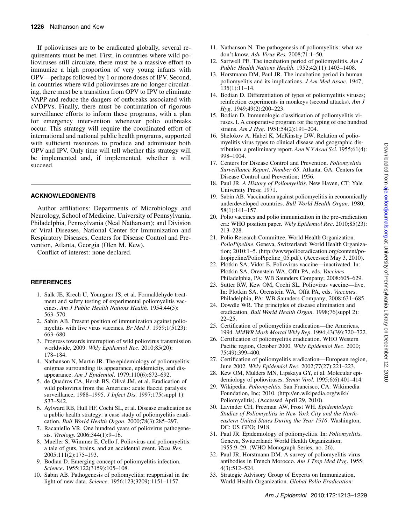If polioviruses are to be eradicated globally, several requirements must be met. First, in countries where wild polioviruses still circulate, there must be a massive effort to immunize a high proportion of very young infants with OPV—perhaps followed by 1 or more doses of IPV. Second, in countries where wild polioviruses are no longer circulating, there must be a transition from OPV to IPV to eliminate VAPP and reduce the dangers of outbreaks associated with cVDPVs. Finally, there must be continuation of rigorous surveillance efforts to inform these programs, with a plan for emergency intervention whenever polio outbreaks occur. This strategy will require the coordinated effort of international and national public health programs, supported with sufficient resources to produce and administer both OPV and IPV. Only time will tell whether this strategy will be implemented and, if implemented, whether it will succeed.

#### ACKNOWLEDGMENTS

Author affiliations: Departments of Microbiology and Neurology, School of Medicine, University of Pennsylvania, Philadelphia, Pennsylvania (Neal Nathanson); and Division of Viral Diseases, National Center for Immunization and Respiratory Diseases, Centers for Disease Control and Prevention, Atlanta, Georgia (Olen M. Kew).

Conflict of interest: none declared.

#### REFERENCES

- 1. Salk JE, Krech U, Youngner JS, et al. Formaldehyde treatment and safety testing of experimental poliomyelitis vaccines. Am J Public Health Nations Health. 1954;44(5): 563–570.
- 2. Sabin AB. Present position of immunization against poliomyelitis with live virus vaccines. Br Med J. 1959;1(5123): 663–680.
- 3. Progress towards interruption of wild poliovirus transmission worldwide, 2009. Wkly Epidemiol Rec. 2010;85(20): 178–184.
- 4. Nathanson N, Martin JR. The epidemiology of poliomyelitis: enigmas surrounding its appearance, epidemicity, and disappearance. Am J Epidemiol. 1979;110(6):672–692.
- 5. de Quadros CA, Hersh BS, Olivé JM, et al. Eradication of wild poliovirus from the Americas: acute flaccid paralysis surveillance, 1988–1995. *J Infect Dis.* 1997;175(suppl 1): S37–S42.
- 6. Aylward RB, Hull HF, Cochi SL, et al. Disease eradication as a public health strategy: a case study of poliomyelitis eradication. Bull World Health Organ. 2000;78(3):285–297.
- 7. Racaniello VR. One hundred years of poliovirus pathogenesis. Virology. 2006;344(1):9–16.
- 8. Mueller S, Wimmer E, Cello J. Poliovirus and poliomyelitis: a tale of guts, brains, and an accidental event. Virus Res. 2005;111(2):175–193.
- 9. Bodian D. Emerging concept of poliomyelitis infection. Science. 1955;122(3159):105–108.
- 10. Sabin AB. Pathogenesis of poliomyelitis; reappraisal in the light of new data. Science. 1956;123(3209):1151–1157.
- 11. Nathanson N. The pathogenesis of poliomyelitis: what we don't know. Adv Virus Res. 2008;71:1–50.
- 12. Sartwell PE. The incubation period of poliomyelitis. Am J Public Health Nations Health. 1952;42(11):1403–1408.
- 13. Horstmann DM, Paul JR. The incubation period in human poliomyelitis and its implications. J Am Med Assoc. 1947; 135(1):11–14.
- 14. Bodian D. Differentiation of types of poliomyelitis viruses; reinfection experiments in monkeys (second attacks). Am J Hyg. 1949;49(2):200–223.
- 15. Bodian D. Immunologic classification of poliomyelitis viruses. I. A cooperative program for the typing of one hundred strains. Am J Hyg. 1951;54(2):191-204.
- 16. Shelokov A, Habel K, McKinstry DW. Relation of poliomyelitis virus types to clinical disease and geographic distribution: a preliminary report. Ann N Y Acad Sci. 1955;61(4): 998–1004.
- 17. Centers for Disease Control and Prevention. Poliomyelitis Surveillance Report, Number 65. Atlanta, GA: Centers for Disease Control and Prevention; 1956.
- 18. Paul JR. A History of Poliomyelitis. New Haven, CT: Yale University Press; 1971.
- 19. Sabin AB. Vaccination against poliomyelitis in economically underdeveloped countries. Bull World Health Organ. 1980; 58(1):141–157.
- 20. Polio vaccines and polio immunization in the pre-eradication era: WHO position paper. Wkly Epidemiol Rec. 2010;85(23): 213–228.
- 21. Polio Research Committee, World Health Organization. PolioPipeline. Geneva, Switzerland: World Health Organization; 2010:1–5. [\(http://wwwpolioeradication.org/content/po](http://wwwpolioeradication.org/content/poliopipeline/PolioPipeline_06.pdf)[liopipeline/PolioPipeline\\_05.pdf](http://wwwpolioeradication.org/content/poliopipeline/PolioPipeline_06.pdf)). (Accessed May 3, 2010).
- 22. Plotkin SA, Vidor E. Poliovirus vaccine—inactivated. In: Plotkin SA, Orenstein WA, Offit PA, eds. Vaccines. Philadelphia, PA: WB Saunders Company; 2008:605–629.
- 23. Sutter RW, Kew OM, Cochi SL. Poliovirus vaccine—live. In: Plotkin SA, Orenstein WA, Offit PA, eds. Vaccines. Philadelphia, PA: WB Saunders Company; 2008:631–685.
- 24. Dowdle WR. The principles of disease elimination and eradication. Bull World Health Organ. 1998;76(suppl 2): 22–25.
- 25. Certification of poliomyelitis eradication—the Americas, 1994. MMWR Morb Mortal Wkly Rep. 1994;43(39):720–722.
- 26. Certification of poliomyelitis eradication. WHO Western Pacific region, October 2000. Wkly Epidemiol Rec. 2000; 75(49):399–400.
- 27. Certification of poliomyelitis eradication—European region, June 2002. Wkly Epidemiol Rec. 2002;77(27):221–223.
- 28. Kew OM, Mulders MN, Lipskaya GY, et al. Molecular epidemiology of polioviruses. Semin Virol. 1995;6(6):401–414.
- 29. Wikipedia. Poliomyelitis. San Francisco, CA: Wikimedia Foundation, Inc; 2010. [\(http://en.wikipedia.org/wiki/](http://en.wikipedia.org/wiki/Poliomyelitis) [Poliomyelitis](http://en.wikipedia.org/wiki/Poliomyelitis)). (Accessed April 29, 2010).
- 30. Lavinder CH, Freeman AW, Frost WH. Epidemiologic Studies of Poliomyelitis in New York City and the Northeastern United States During the Year 1916. Washington, DC: US GPO; 1918.
- 31. Paul JR. Epidemiology of poliomyelitis. In: Poliomyelitis. Geneva, Switzerland: World Health Organization; 1955:9–29. (WHO Monograph Series, no. 26).
- 32. Paul JR, Horstmann DM. A survey of poliomyelitis virus antibodies in French Morocco. Am J Trop Med Hyg. 1955; 4(3):512–524.
- 33. Strategic Advisory Group of Experts on Immunization, World Health Organization. Global Polio Eradication: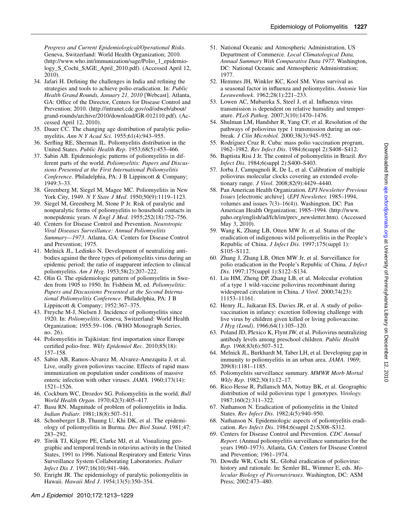Progress and Current Epidemiological/Operational Risks. Geneva, Switzerland: World Health Organization; 2010. [\(http://www.who.int/immunization/sage/Polio\\_1\\_epidemio](http://www.who.int/immunization/sage/Polio_1_epidemiology_S_Cochi_SAGE_April_2010.pdf)logy S Cochi SAGE April 2010.pdf). (Accessed April 12, 2010).

- 34. Jafari H. Defining the challenges in India and refining the strategies and tools to achieve polio eradication. In: Public Health Grand Rounds, January 21, 2010 [Webcast]. Atlanta, GA: Office of the Director, Centers for Disease Control and Prevention; 2010. ([http://intranet.cdc.gov/od/odweb/about/](http://intranet.cdc.gov/od/odweb/about/grand-rounds/archive/2010/download/GR-012110.pdf) [grand-rounds/archive/2010/download/GR-012110.pdf\)](http://intranet.cdc.gov/od/odweb/about/grand-rounds/archive/2010/download/GR-012110.pdf). (Accessed April 12, 2010).
- 35. Dauer CC. The changing age distribution of paralytic poliomyelitis. Ann N Y Acad Sci. 1955;61(4):943–955.
- 36. Serfling RE, Sherman IL. Poliomyelitis distribution in the United States. Public Health Rep. 1953;68(5):453–466.
- 37. Sabin AB. Epidemiologic patterns of poliomyelitis in different parts of the world. Poliomyelitis: Papers and Discussions Presented at the First International Poliomyelitis Conference. Philadelphia, PA: J B Lippincott & Company; 1949:3–33.
- 38. Greenberg M, Siegel M, Magee MC. Poliomyelitis in New York City, 1949. *N Y State J Med.* 1950;50(9):1119–1123.
- 39. Siegel M, Greenberg M, Stone P Jr. Risk of paralytic and nonparalytic forms of poliomyelitis to household contacts in nonepidemic years. N Engl J Med. 1955;252(18):752–756.
- 40. Centers for Disease Control and Prevention. Neurotropic Viral Diseases Surveillance: Annual Poliomyelitis Summary—1973. Atlanta, GA: Centers for Disease Control and Prevention; 1975.
- 41. Melnick JL, Ledinko N. Development of neutralizing antibodies against the three types of poliomyelitis virus during an epidemic period; the ratio of inapparent infection to clinical poliomyelitis. Am J Hyg. 1953;58(2):207–222.
- 42. Olin G. The epidemiologic pattern of poliomyelitis in Sweden from 1905 to 1950. In: Fishbein M, ed. Poliomyelitis: Papers and Discussions Presented at the Second International Poliomyelitis Conference. Philadelphia, PA: J B Lippincott & Company; 1952:367–375.
- 43. Freyche M-J, Nielsen J. Incidence of poliomyelitis since 1920. In: Poliomyelitis. Geneva, Switzerland: World Health Organization; 1955:59–106. (WHO Monograph Series, no. 26).
- 44. Poliomyelitis in Tajikistan: first importation since Europe certified polio-free. Wkly Epidemiol Rec. 2010;85(18): 157–158.
- 45. Sabin AB, Ramos-Alvarez M, Alvarez-Amezquita J, et al. Live, orally given poliovirus vaccine. Effects of rapid mass immunization on population under conditions of massive enteric infection with other viruses. JAMA. 1960;173(14): 1521–1526.
- 46. Cockburn WC, Drozdov SG. Poliomyelitis in the world. Bull World Health Organ. 1970;42(3):405–417.
- 47. Basu RN. Magnitude of problem of poliomyelitis in India. Indian Pediatr. 1981;18(8):507–511.
- 48. Schonberger LB, Thaung U, Khi DK, et al. The epidemiology of poliomyelitis in Burma. Dev Biol Stand. 1981;47: 283–292.
- 49. Török TJ, Kilgore PE, Clarke MJ, et al. Visualizing geographic and temporal trends in rotavirus activity in the United States, 1991 to 1996. National Respiratory and Enteric Virus Surveillance System Collaborating Laboratories. Pediatr Infect Dis J. 1997;16(10):941–946.
- 50. Enright JR. The epidemiology of paralytic poliomyelitis in Hawaii. Hawaii Med J. 1954;13(5):350–354.
- 51. National Oceanic and Atmospheric Administration, US Department of Commerce. Local Climatological Data, Annual Summary With Comparative Data 1977. Washington, DC: National Oceanic and Atmospheric Administration; 1977.
- 52. Hemmes JH, Winkler KC, Kool SM. Virus survival as a seasonal factor in influenza and poliomyelitis. Antonie Van Leeuwenhoek. 1962;28(1):221–233.
- 53. Lowen AC, Mubareka S, Steel J, et al. Influenza virus transmission is dependent on relative humidity and temperature. PLoS Pathog. 2007;3(10):1470–1476.
- 54. Shulman LM, Handsher R, Yang CF, et al. Resolution of the pathways of poliovirus type 1 transmission during an outbreak. J Clin Microbiol. 2000;38(3):945–952.
- 55. Rodríguez Cruz R. Cuba: mass polio vaccination program, 1962–1982. Rev Infect Dis. 1984;6(suppl 2):S408–S412.
- 56. Baptista Risi J Jr. The control of poliomyelitis in Brazil. Rev Infect Dis. 1984;6(suppl 2):S400–S403.
- 57. Jorba J, Campagnoli R, De L, et al. Calibration of multiple poliovirus molecular clocks covering an extended evolutionary range. J Virol. 2008;82(9):4429–4440.
- 58. Pan American Health Organization. EPI Newsletter Previous Issues [electronic archive]. (EPI Newsletter, 1985–1994, volumes and issues 7(3)–16(4)). Washington, DC: Pan American Health Organization; 1985–1994. [\(http://www.](http://www.paho.org/english/ad/fch/im/prev_newsletter.htm) [paho.org/english/ad/fch/im/prev\\_newsletter.htm\)](http://www.paho.org/english/ad/fch/im/prev_newsletter.htm). (Accessed May 3, 2010).
- 59. Wang K, Zhang LB, Otten MW Jr, et al. Status of the eradication of indigenous wild poliomyelitis in the People's Republic of China. J Infect Dis. 1997;175(suppl 1): S105–S112.
- 60. Zhang J, Zhang LB, Otten MW Jr, et al. Surveillance for polio eradication in the People's Republic of China. J Infect Dis. 1997;175(suppl 1):S122–S134.
- 61. Liu HM, Zheng DP, Zhang LB, et al. Molecular evolution of a type 1 wild-vaccine poliovirus recombinant during widespread circulation in China. J Virol. 2000;74(23): 11153–11161.
- 62. Henry JL, Jaikaran ES, Davies JR, et al. A study of poliovaccination in infancy: excretion following challenge with live virus by children given killed or living poliovaccine. J Hyg (Lond). 1966;64(1):105–120.
- 63. Poland JD, Plexico K, Flynt JW, et al. Poliovirus neutralizing antibody levels among preschool children. Public Health Rep. 1968;83(6):507–512.
- 64. Melnick JL, Burkhardt M, Taber LH, et al. Developing gap in immunity to poliomyelitis in an urban area. JAMA. 1969; 209(8):1181–1185.
- 65. Poliomyelitis surveillance summary. MMWR Morb Mortal Wkly Rep. 1982;30(1):12–17.
- 66. Rico-Hesse R, Pallansch MA, Nottay BK, et al. Geographic distribution of wild poliovirus type 1 genotypes. Virology. 1987;160(2):311–322.
- 67. Nathanson N. Eradication of poliomyelitis in the United States. Rev Infect Dis. 1982;4(5):940–950.
- 68. Nathanson N. Epidemiologic aspects of poliomyelitis eradication. Rev Infect Dis. 1984;6(suppl 2):S308–S312.
- 69. Centers for Disease Control and Prevention. CDC Annual Report. (Annual poliomyelitis surveillance summaries for the years 1960–1973). Atlanta, GA: Centers for Disease Control and Prevention; 1961–1974.
- 70. Dowdle WR, Cochi SL. Global eradication of poliovirus: history and rationale. In: Semler BL, Wimmer E, eds. Molecular Biology of Picornaviruses. Washington, DC: ASM Press; 2002:473–480.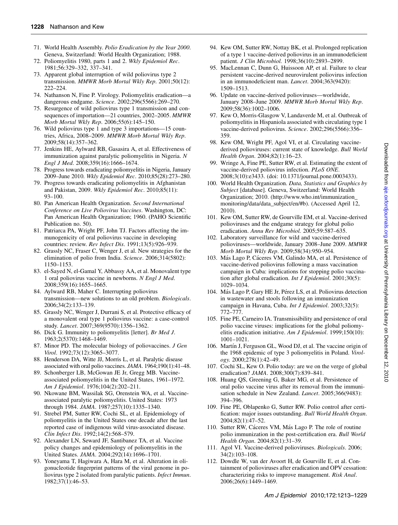- 71. World Health Assembly. Polio Eradication by the Year 2000. Geneva, Switzerland: World Health Organization; 1988.
- 72. Poliomyelitis 1980, parts 1 and 2. Wkly Epidemiol Rec. 1981;56:329–332, 337–341.
- 73. Apparent global interruption of wild poliovirus type 2 transmission. MMWR Morb Mortal Wkly Rep. 2001;50(12): 222–224.
- 74. Nathanson N, Fine P. Virology. Poliomyelitis eradication—a dangerous endgame. Science. 2002;296(5566):269–270.
- 75. Resurgence of wild poliovirus type 1 transmission and consequences of importation—21 countries, 2002–2005. MMWR Morb Mortal Wkly Rep. 2006;55(6):145–150.
- 76. Wild poliovirus type 1 and type 3 importations—15 countries, Africa, 2008–2009. MMWR Morb Mortal Wkly Rep. 2009;58(14):357–362.
- 77. Jenkins HE, Aylward RB, Gasasira A, et al. Effectiveness of immunization against paralytic poliomyelitis in Nigeria. N Engl J Med. 2008;359(16):1666–1674.
- 78. Progress towards eradicating poliomyelitis in Nigeria, January 2009–June 2010. Wkly Epidemiol Rec. 2010;85(28):273–280.
- 79. Progress towards eradicating poliomyelitis in Afghanistan and Pakistan, 2009. Wkly Epidemiol Rec. 2010;85(11): 93–100.
- 80. Pan American Health Organization. Second International Conference on Live Poliovirus Vaccines. Washington, DC: Pan American Health Organization; 1960. (PAHO Scientific Publication no. 50).
- 81. Patriarca PA, Wright PF, John TJ. Factors affecting the immunogenicity of oral poliovirus vaccine in developing countries: review. Rev Infect Dis. 1991;13(5):926–939.
- 82. Grassly NC, Fraser C, Wenger J, et al. New strategies for the elimination of polio from India. Science. 2006;314(5802): 1150–1153.
- 83. el-Sayed N, el-Gamal Y, Abbassy AA, et al. Monovalent type 1 oral poliovirus vaccine in newborns. N Engl J Med. 2008;359(16):1655–1665.
- 84. Aylward RB, Maher C. Interrupting poliovirus transmission—new solutions to an old problem. Biologicals. 2006;34(2):133–139.
- 85. Grassly NC, Wenger J, Durrani S, et al. Protective efficacy of a monovalent oral type 1 poliovirus vaccine: a case-control study. Lancet. 2007;369(9570):1356–1362.
- 86. Dick G. Immunity to poliomyelitis [letter]. Br Med J. 1963;2(5370):1468–1469.
- 87. Minor PD. The molecular biology of poliovaccines. J Gen Virol. 1992;73(12):3065–3077.
- 88. Henderson DA, Witte JJ, Morris L, et al. Paralytic disease associated with oral polio vaccines. JAMA. 1964;190(1):41–48.
- 89. Schonberger LB, McGowan JE Jr, Gregg MB. Vaccineassociated poliomyelitis in the United States, 1961–1972. Am J Epidemiol. 1976;104(2):202–211.
- 90. Nkowane BM, Wassilak SG, Orenstein WA, et al. Vaccineassociated paralytic poliomyelitis. United States: 1973 through 1984. JAMA. 1987;257(10):1335–1340.
- 91. Strebel PM, Sutter RW, Cochi SL, et al. Epidemiology of poliomyelitis in the United States one decade after the last reported case of indigenous wild virus-associated disease. Clin Infect Dis. 1992;14(2):568–579.
- 92. Alexander LN, Seward JF, Santibanez TA, et al. Vaccine policy changes and epidemiology of poliomyelitis in the United States. JAMA. 2004;292(14):1696–1701.
- 93. Yoneyama T, Hagiwara A, Hara M, et al. Alteration in oligonucleotide fingerprint patterns of the viral genome in poliovirus type 2 isolated from paralytic patients. Infect Immun. 1982;37(1):46–53.
- 94. Kew OM, Sutter RW, Nottay BK, et al. Prolonged replication of a type 1 vaccine-derived poliovirus in an immunodeficient patient. J Clin Microbiol. 1998;36(10):2893–2899.
- 95. MacLennan C, Dunn G, Huissoon AP, et al. Failure to clear persistent vaccine-derived neurovirulent poliovirus infection in an immunodeficient man. Lancet. 2004;363(9420): 1509–1513.
- 96. Update on vaccine-derived polioviruses—worldwide, January 2008–June 2009. MMWR Morb Mortal Wkly Rep. 2009;58(36):1002–1006.
- 97. Kew O, Morris-Glasgow V, Landaverde M, et al. Outbreak of poliomyelitis in Hispaniola associated with circulating type 1 vaccine-derived poliovirus. Science. 2002;296(5566):356– 359.
- 98. Kew OM, Wright PF, Agol VI, et al. Circulating vaccinederived polioviruses: current state of knowledge. Bull World Health Organ. 2004;82(1):16–23.
- 99. Wringe A, Fine PE, Sutter RW, et al. Estimating the extent of vaccine-derived poliovirus infection. PLoS ONE. 2008;3(10):e3433. (doi: 10.1371/journal.pone.0003433).
- 100. World Health Organization. Data, Statistics and Graphics by Subject [database]. Geneva, Switzerland: World Health Organization; 2010. ([http://www.who.int/immunization\\_](http://www.who.int/immunization_monitoring/data/data_subject/en/#b) [monitoring/data/data\\_subject/en/#b\)](http://www.who.int/immunization_monitoring/data/data_subject/en/#b). (Accessed April 12, 2010).
- 101. Kew OM, Sutter RW, de Gourville EM, et al. Vaccine-derived polioviruses and the endgame strategy for global polio eradication. Annu Rev Microbiol. 2005;59:587–635.
- 102. Laboratory surveillance for wild and vaccine-derived polioviruses—worldwide, January 2008–June 2009. MMWR Morb Mortal Wkly Rep. 2009;58(34):950–954.
- 103. Más Lago P, Cáceres VM, Galindo MA, et al. Persistence of vaccine-derived poliovirus following a mass vaccination campaign in Cuba: implications for stopping polio vaccination after global eradication. Int J Epidemiol. 2001;30(5): 1029–1034.
- 104. Más Lago P, Gary HE Jr, Pérez LS, et al. Poliovirus detection in wastewater and stools following an immunization campaign in Havana, Cuba. Int J Epidemiol. 2003;32(5): 772–777.
- 105. Fine PE, Carneiro IA. Transmissibility and persistence of oral polio vaccine viruses: implications for the global poliomyelitis eradication initiative. Am J Epidemiol. 1999;150(10): 1001–1021.
- 106. Martín J, Ferguson GL, Wood DJ, et al. The vaccine origin of the 1968 epidemic of type 3 poliomyelitis in Poland. Virology. 2000;278(1):42–49.
- 107. Cochi SL, Kew O. Polio today: are we on the verge of global eradication? JAMA. 2008;300(7):839–841.
- 108. Huang QS, Greening G, Baker MG, et al. Persistence of oral polio vaccine virus after its removal from the immunisation schedule in New Zealand. Lancet. 2005;366(9483): 394–396.
- 109. Fine PE, Oblapenko G, Sutter RW. Polio control after certification: major issues outstanding. Bull World Health Organ. 2004;82(1):47–52.
- 110. Sutter RW, Cáceres VM, Más Lago P. The role of routine polio immunization in the post-certification era. Bull World Health Organ. 2004;82(1):31–39.
- 111. Agol VI. Vaccine-derived polioviruses. Biologicals. 2006; 34(2):103–108.
- 112. Dowdle W, van der Avoort H, de Gourville E, et al. Containment of polioviruses after eradication and OPV cessation: characterizing risks to improve management. Risk Anal. 2006;26(6):1449–1469.